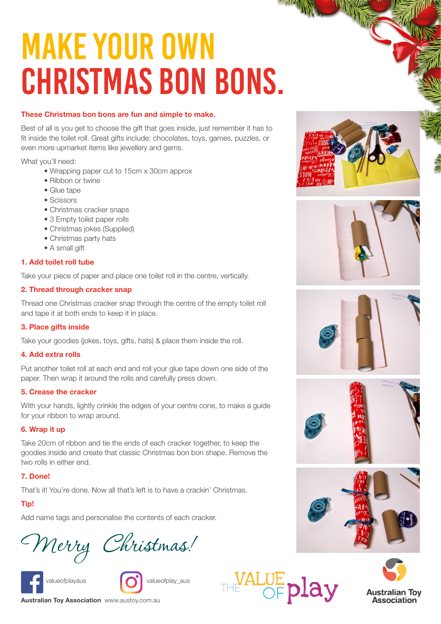# Make your own CHRISTMAS BON BONS.

### **These Christmas bon bons are fun and simple to make.**

Best of all is you get to choose the gift that goes inside, just remember it has to fit inside the toilet roll. Great gifts include: chocolates, toys, games, puzzles, or even more upmarket items like jewellery and gems.

What you'll need:

- Wrapping paper cut to 15cm x 30cm approx
- Ribbon or twine
- Glue tape
- Scissors
- Christmas cracker snaps
- 3 Empty toilet paper rolls
- Christmas jokes (Supplied)
- Christmas party hats
- A small gift

### **1. Add toilet roll tube**

Take your piece of paper and place one toilet roll in the centre, vertically.

#### **2. Thread through cracker snap**

Thread one Christmas cracker snap through the centre of the empty toilet roll and tape it at both ends to keep it in place.

#### **3. Place gifts inside**

Take your goodies (jokes, toys, gifts, hats) & place them inside the roll.

#### **4. Add extra rolls**

Put another toilet roll at each end and roll your glue tape down one side of the paper. Then wrap it around the rolls and carefully press down.

#### **5. Crease the cracker**

With your hands, lightly crinkle the edges of your centre cone, to make a guide for your ribbon to wrap around.

#### **6. Wrap it up**

Take 20cm of ribbon and tie the ends of each cracker together, to keep the goodies inside and create that classic Christmas bon bon shape. Remove the two rolls in either end.

#### **7. Done!**

That's it! You're done. Now all that's left is to have a crackin' Christmas.

## **Tip!**

Add name tags and personalise the contents of each cracker.



Merry Christmas!





THE ALUE play



*PATRICK* 











**[Australian Toy Association](https://austoy.com.au/)** www.austoy.com.au